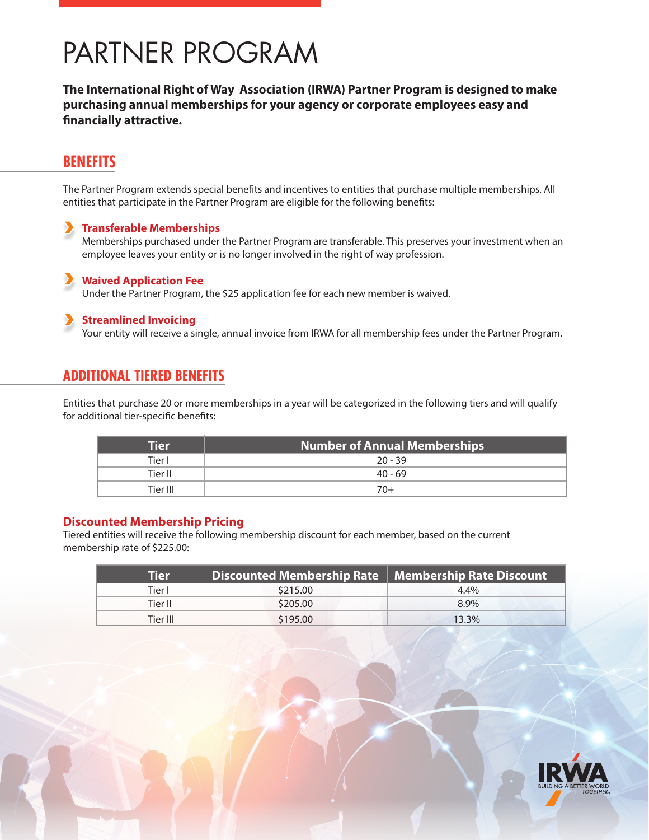# PARTNER PROGRAM

**The International Right of Way Association (IRWA) Partner Program is designed to make purchasing annual memberships for your agency or corporate employees easy and financially attractive.**

# **BENEFITS**

The Partner Program extends special benefits and incentives to entities that purchase multiple memberships. All entities that participate in the Partner Program are eligible for the following benefits:

#### **Transferable Memberships**

Memberships purchased under the Partner Program are transferable. This preserves your investment when an employee leaves your entity or is no longer involved in the right of way profession.

#### **Waived Application Fee**

Under the Partner Program, the \$25 application fee for each new member is waived.

#### **Streamlined Invoicing**

Your entity will receive a single, annual invoice from IRWA for all membership fees under the Partner Program.

## **ADDITIONAL TIERED BENEFITS**

Entities that purchase 20 or more memberships in a year will be categorized in the following tiers and will qualify for additional tier-specific benefits:

| Tier     | <b>Number of Annual Memberships</b> |
|----------|-------------------------------------|
| Tier I   | $20 - 39$                           |
| Tier II  | 40 - 69                             |
| Tier III | 70+                                 |

#### **Discounted Membership Pricing**

Tiered entities will receive the following membership discount for each member, based on the current membership rate of \$225.00:

| Tier     | Discounted Membership Rate   Membership Rate Discount |         |
|----------|-------------------------------------------------------|---------|
| Tier I   | \$215.00                                              | $4.4\%$ |
| Tier II  | \$205.00                                              | 8.9%    |
| Tier III | \$195.00                                              | 13.3%   |